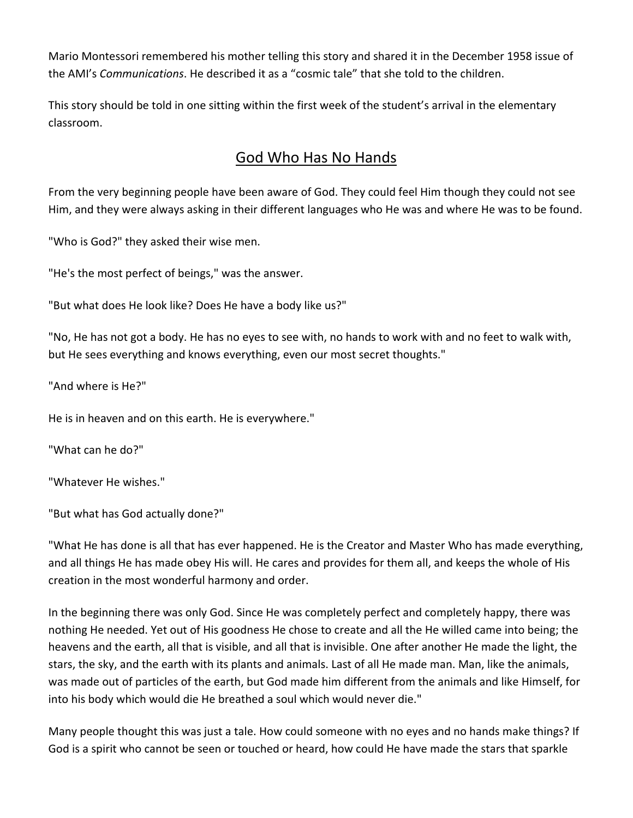Mario Montessori remembered his mother telling this story and shared it in the December 1958 issue of the AMI's *Communications*. He described it as a "cosmic tale" that she told to the children.

This story should be told in one sitting within the first week of the student's arrival in the elementary classroom.

## God Who Has No Hands

From the very beginning people have been aware of God. They could feel Him though they could not see Him, and they were always asking in their different languages who He was and where He was to be found.

"Who is God?" they asked their wise men.

"He's the most perfect of beings," was the answer.

"But what does He look like? Does He have a body like us?"

"No, He has not got a body. He has no eyes to see with, no hands to work with and no feet to walk with, but He sees everything and knows everything, even our most secret thoughts."

"And where is He?"

He is in heaven and on this earth. He is everywhere."

"What can he do?"

"Whatever He wishes."

"But what has God actually done?"

"What He has done is all that has ever happened. He is the Creator and Master Who has made everything, and all things He has made obey His will. He cares and provides for them all, and keeps the whole of His creation in the most wonderful harmony and order.

In the beginning there was only God. Since He was completely perfect and completely happy, there was nothing He needed. Yet out of His goodness He chose to create and all the He willed came into being; the heavens and the earth, all that is visible, and all that is invisible. One after another He made the light, the stars, the sky, and the earth with its plants and animals. Last of all He made man. Man, like the animals, was made out of particles of the earth, but God made him different from the animals and like Himself, for into his body which would die He breathed a soul which would never die."

Many people thought this was just a tale. How could someone with no eyes and no hands make things? If God is a spirit who cannot be seen or touched or heard, how could He have made the stars that sparkle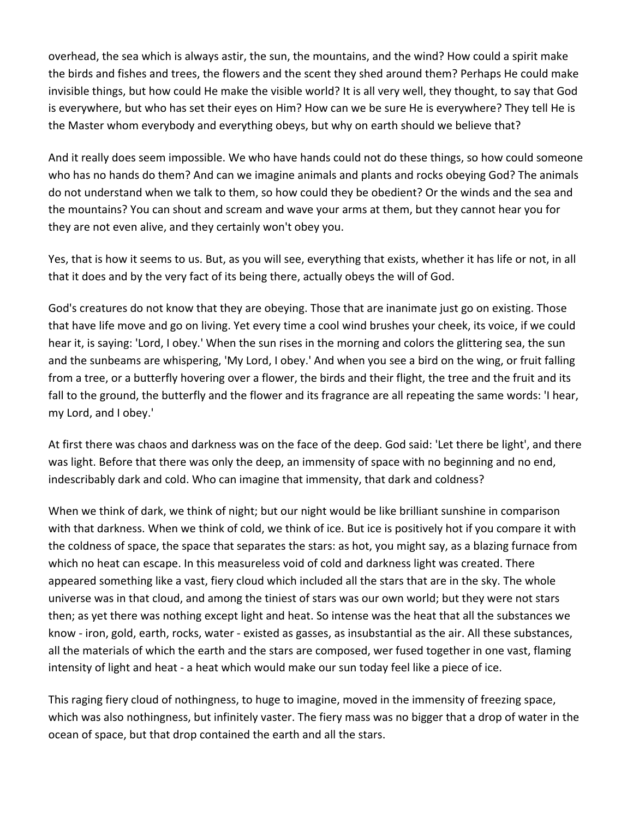overhead, the sea which is always astir, the sun, the mountains, and the wind? How could a spirit make the birds and fishes and trees, the flowers and the scent they shed around them? Perhaps He could make invisible things, but how could He make the visible world? It is all very well, they thought, to say that God is everywhere, but who has set their eyes on Him? How can we be sure He is everywhere? They tell He is the Master whom everybody and everything obeys, but why on earth should we believe that?

And it really does seem impossible. We who have hands could not do these things, so how could someone who has no hands do them? And can we imagine animals and plants and rocks obeying God? The animals do not understand when we talk to them, so how could they be obedient? Or the winds and the sea and the mountains? You can shout and scream and wave your arms at them, but they cannot hear you for they are not even alive, and they certainly won't obey you.

Yes, that is how it seems to us. But, as you will see, everything that exists, whether it has life or not, in all that it does and by the very fact of its being there, actually obeys the will of God.

God's creatures do not know that they are obeying. Those that are inanimate just go on existing. Those that have life move and go on living. Yet every time a cool wind brushes your cheek, its voice, if we could hear it, is saying: 'Lord, I obey.' When the sun rises in the morning and colors the glittering sea, the sun and the sunbeams are whispering, 'My Lord, I obey.' And when you see a bird on the wing, or fruit falling from a tree, or a butterfly hovering over a flower, the birds and their flight, the tree and the fruit and its fall to the ground, the butterfly and the flower and its fragrance are all repeating the same words: 'I hear, my Lord, and I obey.'

At first there was chaos and darkness was on the face of the deep. God said: 'Let there be light', and there was light. Before that there was only the deep, an immensity of space with no beginning and no end, indescribably dark and cold. Who can imagine that immensity, that dark and coldness?

When we think of dark, we think of night; but our night would be like brilliant sunshine in comparison with that darkness. When we think of cold, we think of ice. But ice is positively hot if you compare it with the coldness of space, the space that separates the stars: as hot, you might say, as a blazing furnace from which no heat can escape. In this measureless void of cold and darkness light was created. There appeared something like a vast, fiery cloud which included all the stars that are in the sky. The whole universe was in that cloud, and among the tiniest of stars was our own world; but they were not stars then; as yet there was nothing except light and heat. So intense was the heat that all the substances we know - iron, gold, earth, rocks, water - existed as gasses, as insubstantial as the air. All these substances, all the materials of which the earth and the stars are composed, wer fused together in one vast, flaming intensity of light and heat - a heat which would make our sun today feel like a piece of ice.

This raging fiery cloud of nothingness, to huge to imagine, moved in the immensity of freezing space, which was also nothingness, but infinitely vaster. The fiery mass was no bigger that a drop of water in the ocean of space, but that drop contained the earth and all the stars.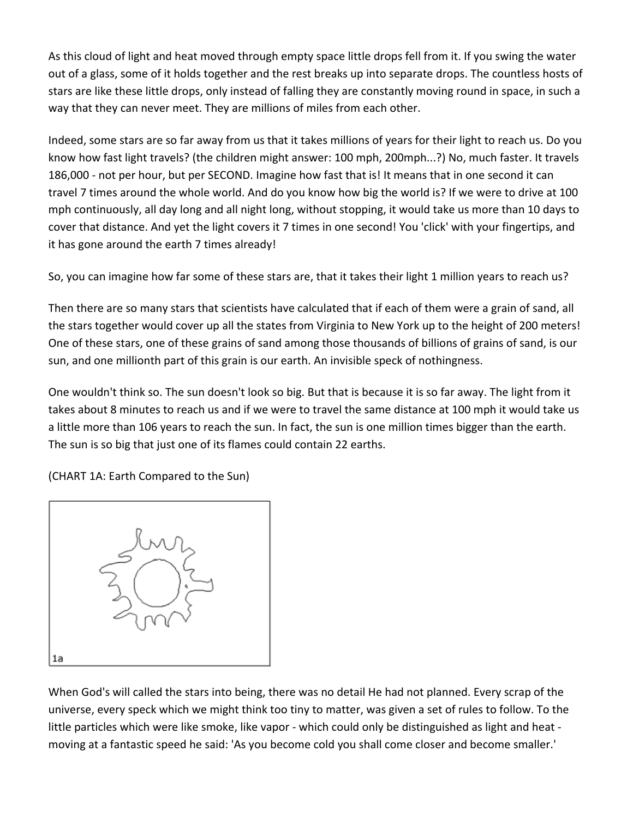As this cloud of light and heat moved through empty space little drops fell from it. If you swing the water out of a glass, some of it holds together and the rest breaks up into separate drops. The countless hosts of stars are like these little drops, only instead of falling they are constantly moving round in space, in such a way that they can never meet. They are millions of miles from each other.

Indeed, some stars are so far away from us that it takes millions of years for their light to reach us. Do you know how fast light travels? (the children might answer: 100 mph, 200mph...?) No, much faster. It travels 186,000 - not per hour, but per SECOND. Imagine how fast that is! It means that in one second it can travel 7 times around the whole world. And do you know how big the world is? If we were to drive at 100 mph continuously, all day long and all night long, without stopping, it would take us more than 10 days to cover that distance. And yet the light covers it 7 times in one second! You 'click' with your fingertips, and it has gone around the earth 7 times already!

So, you can imagine how far some of these stars are, that it takes their light 1 million years to reach us?

Then there are so many stars that scientists have calculated that if each of them were a grain of sand, all the stars together would cover up all the states from Virginia to New York up to the height of 200 meters! One of these stars, one of these grains of sand among those thousands of billions of grains of sand, is our sun, and one millionth part of this grain is our earth. An invisible speck of nothingness.

One wouldn't think so. The sun doesn't look so big. But that is because it is so far away. The light from it takes about 8 minutes to reach us and if we were to travel the same distance at 100 mph it would take us a little more than 106 years to reach the sun. In fact, the sun is one million times bigger than the earth. The sun is so big that just one of its flames could contain 22 earths.

(CHART 1A: Earth Compared to the Sun)



When God's will called the stars into being, there was no detail He had not planned. Every scrap of the universe, every speck which we might think too tiny to matter, was given a set of rules to follow. To the little particles which were like smoke, like vapor - which could only be distinguished as light and heat moving at a fantastic speed he said: 'As you become cold you shall come closer and become smaller.'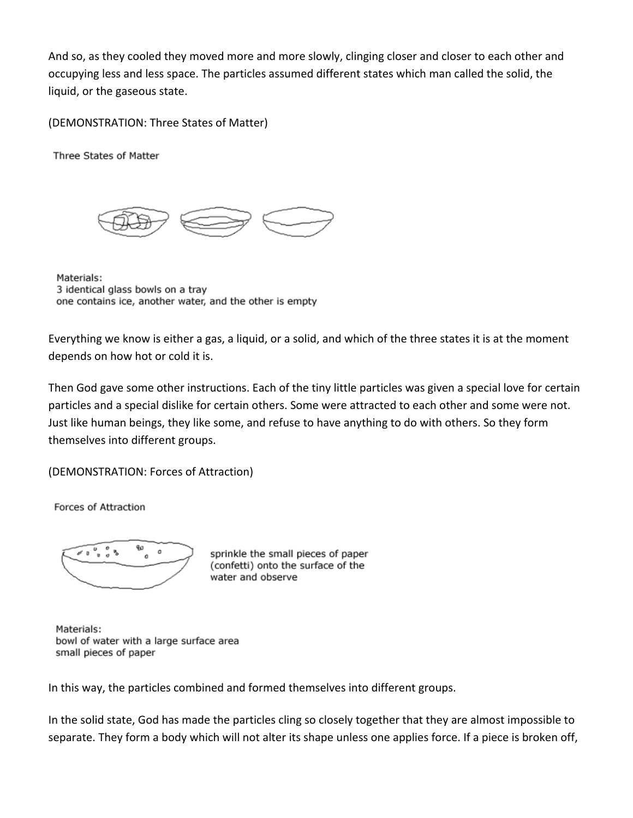And so, as they cooled they moved more and more slowly, clinging closer and closer to each other and occupying less and less space. The particles assumed different states which man called the solid, the liquid, or the gaseous state.

(DEMONSTRATION: Three States of Matter)

Three States of Matter



Materials: 3 identical glass bowls on a tray one contains ice, another water, and the other is empty

Everything we know is either a gas, a liquid, or a solid, and which of the three states it is at the moment depends on how hot or cold it is.

Then God gave some other instructions. Each of the tiny little particles was given a special love for certain particles and a special dislike for certain others. Some were attracted to each other and some were not. Just like human beings, they like some, and refuse to have anything to do with others. So they form themselves into different groups.

(DEMONSTRATION: Forces of Attraction)

Forces of Attraction



sprinkle the small pieces of paper (confetti) onto the surface of the water and observe

Materials: bowl of water with a large surface area small pieces of paper

In this way, the particles combined and formed themselves into different groups.

In the solid state, God has made the particles cling so closely together that they are almost impossible to separate. They form a body which will not alter its shape unless one applies force. If a piece is broken off,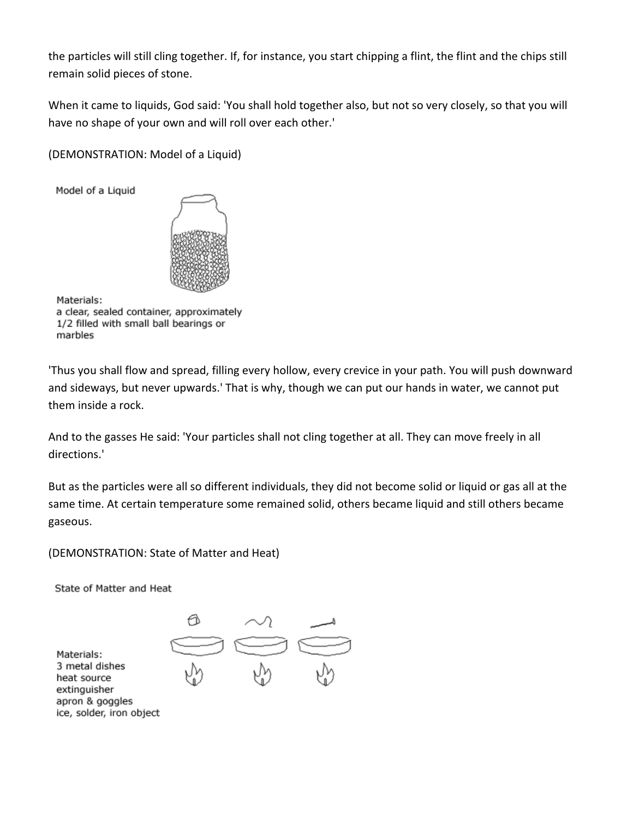the particles will still cling together. If, for instance, you start chipping a flint, the flint and the chips still remain solid pieces of stone.

When it came to liquids, God said: 'You shall hold together also, but not so very closely, so that you will have no shape of your own and will roll over each other.'

(DEMONSTRATION: Model of a Liquid)

Model of a Liquid



Materials:

a clear, sealed container, approximately 1/2 filled with small ball bearings or marbles

'Thus you shall flow and spread, filling every hollow, every crevice in your path. You will push downward and sideways, but never upwards.' That is why, though we can put our hands in water, we cannot put them inside a rock.

And to the gasses He said: 'Your particles shall not cling together at all. They can move freely in all directions.'

But as the particles were all so different individuals, they did not become solid or liquid or gas all at the same time. At certain temperature some remained solid, others became liquid and still others became gaseous.

(DEMONSTRATION: State of Matter and Heat)

State of Matter and Heat

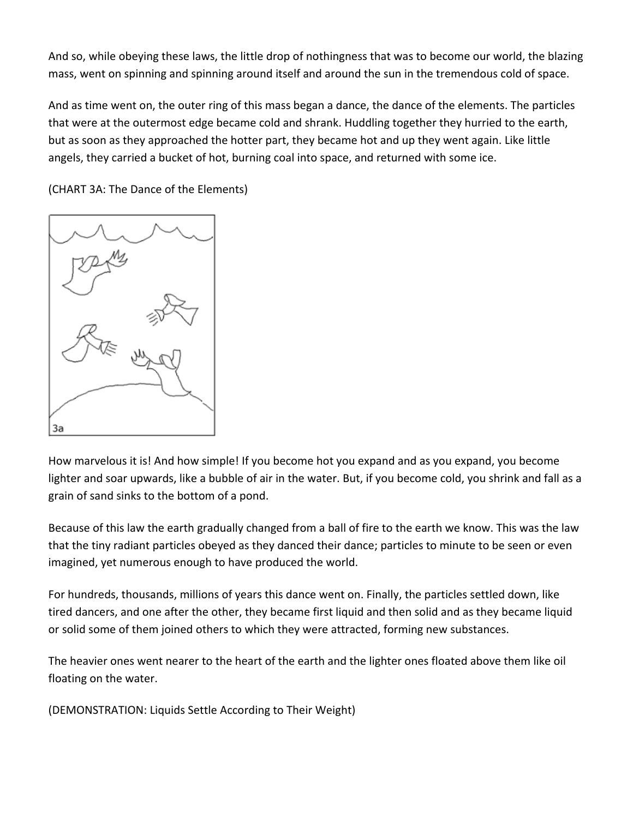And so, while obeying these laws, the little drop of nothingness that was to become our world, the blazing mass, went on spinning and spinning around itself and around the sun in the tremendous cold of space.

And as time went on, the outer ring of this mass began a dance, the dance of the elements. The particles that were at the outermost edge became cold and shrank. Huddling together they hurried to the earth, but as soon as they approached the hotter part, they became hot and up they went again. Like little angels, they carried a bucket of hot, burning coal into space, and returned with some ice.

(CHART 3A: The Dance of the Elements)



How marvelous it is! And how simple! If you become hot you expand and as you expand, you become lighter and soar upwards, like a bubble of air in the water. But, if you become cold, you shrink and fall as a grain of sand sinks to the bottom of a pond.

Because of this law the earth gradually changed from a ball of fire to the earth we know. This was the law that the tiny radiant particles obeyed as they danced their dance; particles to minute to be seen or even imagined, yet numerous enough to have produced the world.

For hundreds, thousands, millions of years this dance went on. Finally, the particles settled down, like tired dancers, and one after the other, they became first liquid and then solid and as they became liquid or solid some of them joined others to which they were attracted, forming new substances.

The heavier ones went nearer to the heart of the earth and the lighter ones floated above them like oil floating on the water.

(DEMONSTRATION: Liquids Settle According to Their Weight)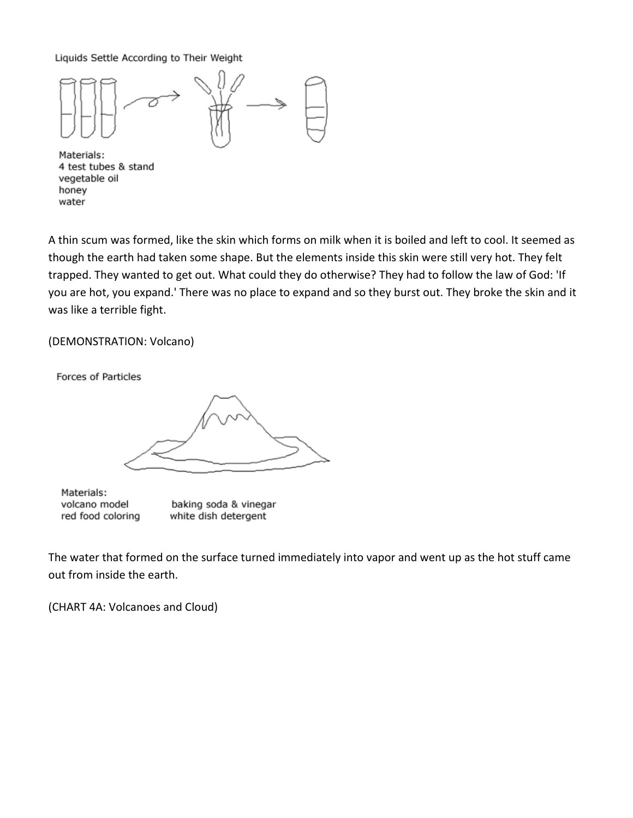Liquids Settle According to Their Weight



Materials: 4 test tubes & stand vegetable oil honey water

A thin scum was formed, like the skin which forms on milk when it is boiled and left to cool. It seemed as though the earth had taken some shape. But the elements inside this skin were still very hot. They felt trapped. They wanted to get out. What could they do otherwise? They had to follow the law of God: 'If you are hot, you expand.' There was no place to expand and so they burst out. They broke the skin and it was like a terrible fight.

## (DEMONSTRATION: Volcano)

Forces of Particles

Materials: volcano model red food coloring

baking soda & vinegar white dish detergent

The water that formed on the surface turned immediately into vapor and went up as the hot stuff came out from inside the earth.

(CHART 4A: Volcanoes and Cloud)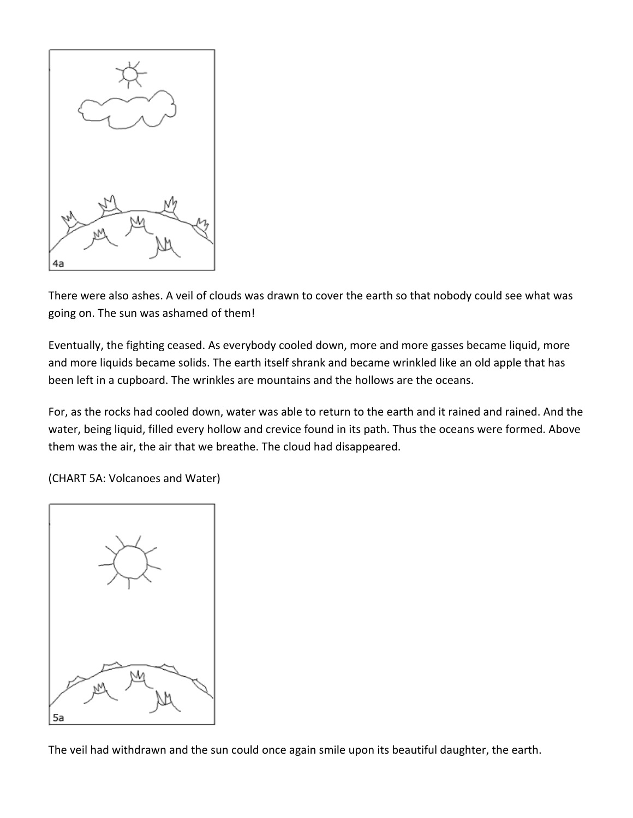

There were also ashes. A veil of clouds was drawn to cover the earth so that nobody could see what was going on. The sun was ashamed of them!

Eventually, the fighting ceased. As everybody cooled down, more and more gasses became liquid, more and more liquids became solids. The earth itself shrank and became wrinkled like an old apple that has been left in a cupboard. The wrinkles are mountains and the hollows are the oceans.

For, as the rocks had cooled down, water was able to return to the earth and it rained and rained. And the water, being liquid, filled every hollow and crevice found in its path. Thus the oceans were formed. Above them was the air, the air that we breathe. The cloud had disappeared.

(CHART 5A: Volcanoes and Water)



The veil had withdrawn and the sun could once again smile upon its beautiful daughter, the earth.